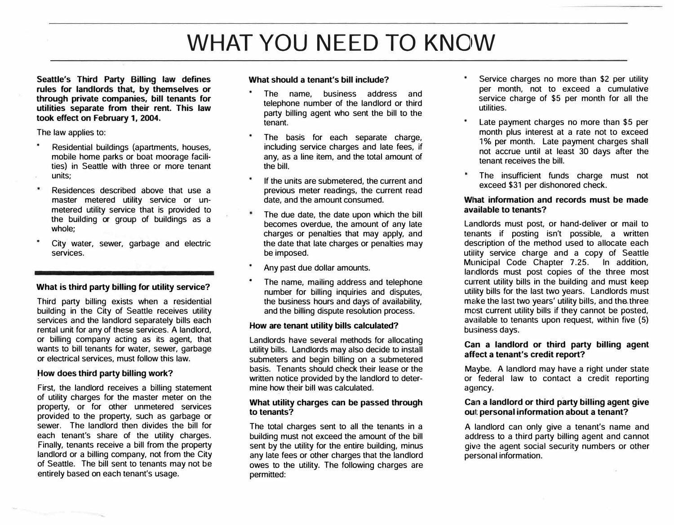# **WHAT** YOU **NEED** TO **KN01W**

**Seattle's Third Party Billing law defines rules for landlords that, by themselves or through private companies, bill tenants for utilities separate from their rent. This law took effect on February 1, 2004.** 

The law applies to:

- Residential buildings (apartments, houses, mobile home parks or boat moorage facilities) in Seattle with three or more tenant units;
- × Residences described above that use a master metered utility service or unmetered utility service that is provided to the building or group of buildings as a whole;
- City water, sewer, garbage and electric services.

#### **What is third party billing for utility service?**

Third party billing exists when a residential building in the City of Seattle receives utility services and the landlord separately bills each rental unit for any of these services. A landlord, or billing company acting as its agent, that wants to bill tenants for water, sewer, garbage or electrical services, must follow this law.

#### **�ow does third party billing work?**

First, the landlord receives a billing statement of utility charges for the master meter on the property, or for other unmetered services provided to the property, such as garbage or sewer. The landlord then divides the bill for each tenant's share of the utility charges. Finally, tenants receive a bill from the property landlord or a billing company, not from the City of Seattle. The bill sent to tenants may not be entirely based on each tenant's usage.

#### **What should a tenant's bill include?**

- The name, business address and telephone number of the landlord or third party billing agent who sent the bill to the tenant.
- The basis for each separate charge, including service charges and late fees, if any, as a line item, and the total amount of the bill.
- If the units are submetered, the current and previous meter readings, the current read date, and the amount consumed.
- The due date, the date upon which the bill becomes overdue, the amount of any late charges or penalties that may apply, and the date that late charges or penalties may be imposed.
- Any past due dollar amounts.
- The name, mailing address and telephone number for billing inquiries and disputes, the business hours and days of availability, and the billing dispute resolution process.

#### **How are tenant utility bills calculated?**

Landlords have several methods for allocating utility bills. Landlords may also decide to install submeters and begin billing on a submetered basis. Tenants should check their lease or the written notice provided by the landlord to determine how their bill was calculated.

#### **What utility charges can be passed through to tenants?**

The total charges sent to all the tenants in a building must not exceed the amount of the bill sent by the utility for the entire building, minus any late fees or other charges that the landlord owes to the utility. The following charges are permitted:

- Service charges no more than \$2 per utility per month, not to exceed a cumulative service charge of \$5 per month for all the utilities.
- Late payment charges no more than \$5 per month plus interest at a rate not to exceed 1% per month. Late payment charges shall not accrue until at least 30 days after the tenant receives the bill.
- The insufficient funds charge must not exceed **\$31** per dishonored check.

#### **Wlhat information and records must be made available to tenants?**

Landlords must post, or hand-deliver or mail to tenants if posting isn't possible, a written description of the method used to allocate each utility service charge and a copy of Seattle Municipal Code Chapter 7.25. In addition, landlords must post copies of the three most current utility bills in the building and must keep utility bills for the last two years. Landlords must make the last two years' utility bills, and the. three most current utility bills if they cannot be posted, available to tenants upon request. within five (5) business days.

#### **Can a landlord or third party billing agent**  affect a tenant's credit report?

Maybe. A landlord may have a right under state or federal law to contact a credit reporting agency.

#### **Cain a landlord or third party billing agent give out personal iriformation about a tenant?**

A landlord can only give a tenant's name and address to a third party billing agent and cannot give the agent social security numbers or other personal information.